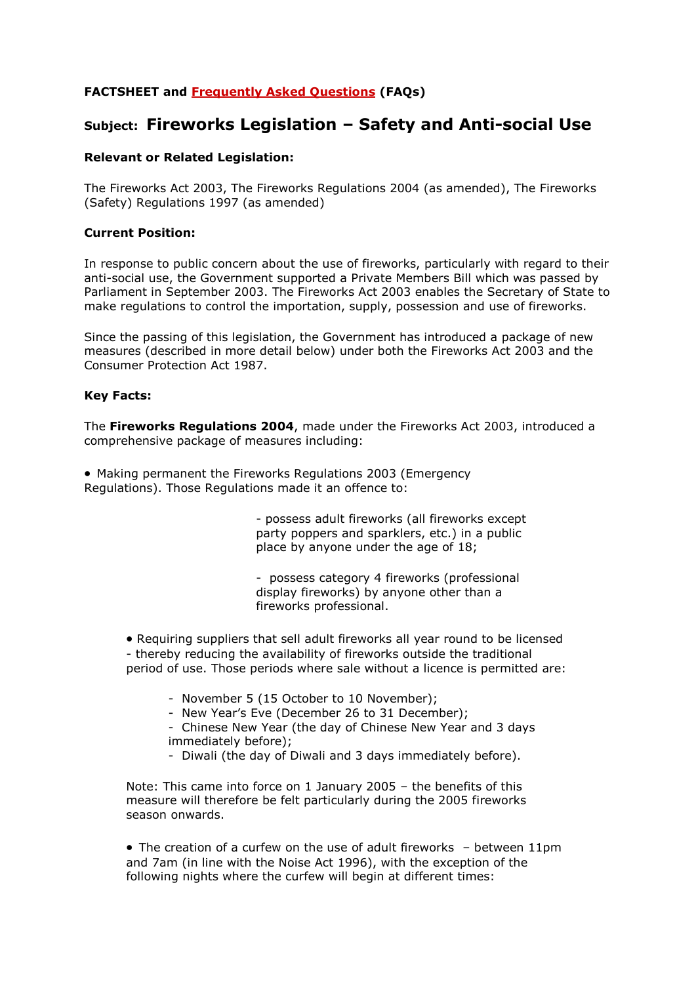# **FACTSHEET and [Frequently Asked Questions](http://webarchive.nationalarchives.gov.uk/+/http:/www.dti.gov.uk/ccp/topics1/facts/fireworks.htm#faqs) (FAQs)**

# **Subject: Fireworks Legislation – Safety and Anti-social Use**

### **Relevant or Related Legislation:**

The Fireworks Act 2003, The Fireworks Regulations 2004 (as amended), The Fireworks (Safety) Regulations 1997 (as amended)

#### **Current Position:**

In response to public concern about the use of fireworks, particularly with regard to their anti-social use, the Government supported a Private Members Bill which was passed by Parliament in September 2003. The Fireworks Act 2003 enables the Secretary of State to make regulations to control the importation, supply, possession and use of fireworks.

Since the passing of this legislation, the Government has introduced a package of new measures (described in more detail below) under both the Fireworks Act 2003 and the Consumer Protection Act 1987.

#### **Key Facts:**

The **Fireworks Regulations 2004**, made under the Fireworks Act 2003, introduced a comprehensive package of measures including:

 Making permanent the Fireworks Regulations 2003 (Emergency Regulations). Those Regulations made it an offence to:

> - possess adult fireworks (all fireworks except party poppers and sparklers, etc.) in a public place by anyone under the age of 18;

- possess category 4 fireworks (professional display fireworks) by anyone other than a fireworks professional.

 Requiring suppliers that sell adult fireworks all year round to be licensed - thereby reducing the availability of fireworks outside the traditional period of use. Those periods where sale without a licence is permitted are:

- November 5 (15 October to 10 November);
- New Year's Eve (December 26 to 31 December);
- Chinese New Year (the day of Chinese New Year and 3 days immediately before);
- Diwali (the day of Diwali and 3 days immediately before).

Note: This came into force on 1 January 2005 – the benefits of this measure will therefore be felt particularly during the 2005 fireworks season onwards.

 $\bullet$  The creation of a curfew on the use of adult fireworks  $-$  between 11pm and 7am (in line with the Noise Act 1996), with the exception of the following nights where the curfew will begin at different times: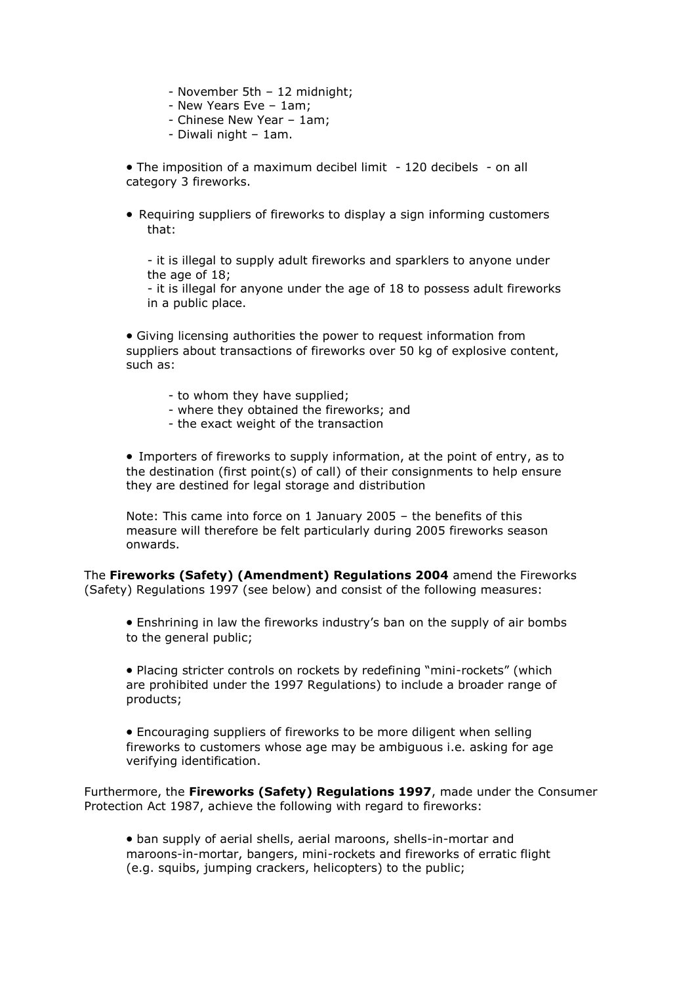- November 5th 12 midnight;
- New Years Eve 1am;
- Chinese New Year 1am;
- Diwali night 1am.

• The imposition of a maximum decibel limit - 120 decibels - on all category 3 fireworks.

 Requiring suppliers of fireworks to display a sign informing customers that:

- it is illegal to supply adult fireworks and sparklers to anyone under the age of 18;

- it is illegal for anyone under the age of 18 to possess adult fireworks in a public place.

 Giving licensing authorities the power to request information from suppliers about transactions of fireworks over 50 kg of explosive content, such as:

- to whom they have supplied;
- where they obtained the fireworks; and
- the exact weight of the transaction

 Importers of fireworks to supply information, at the point of entry, as to the destination (first point(s) of call) of their consignments to help ensure they are destined for legal storage and distribution

Note: This came into force on 1 January 2005 – the benefits of this measure will therefore be felt particularly during 2005 fireworks season onwards.

The **Fireworks (Safety) (Amendment) Regulations 2004** amend the Fireworks (Safety) Regulations 1997 (see below) and consist of the following measures:

 Enshrining in law the fireworks industry's ban on the supply of air bombs to the general public;

 Placing stricter controls on rockets by redefining "mini-rockets" (which are prohibited under the 1997 Regulations) to include a broader range of products;

 Encouraging suppliers of fireworks to be more diligent when selling fireworks to customers whose age may be ambiguous i.e. asking for age verifying identification.

Furthermore, the **Fireworks (Safety) Regulations 1997**, made under the Consumer Protection Act 1987, achieve the following with regard to fireworks:

 ban supply of aerial shells, aerial maroons, shells-in-mortar and maroons-in-mortar, bangers, mini-rockets and fireworks of erratic flight (e.g. squibs, jumping crackers, helicopters) to the public;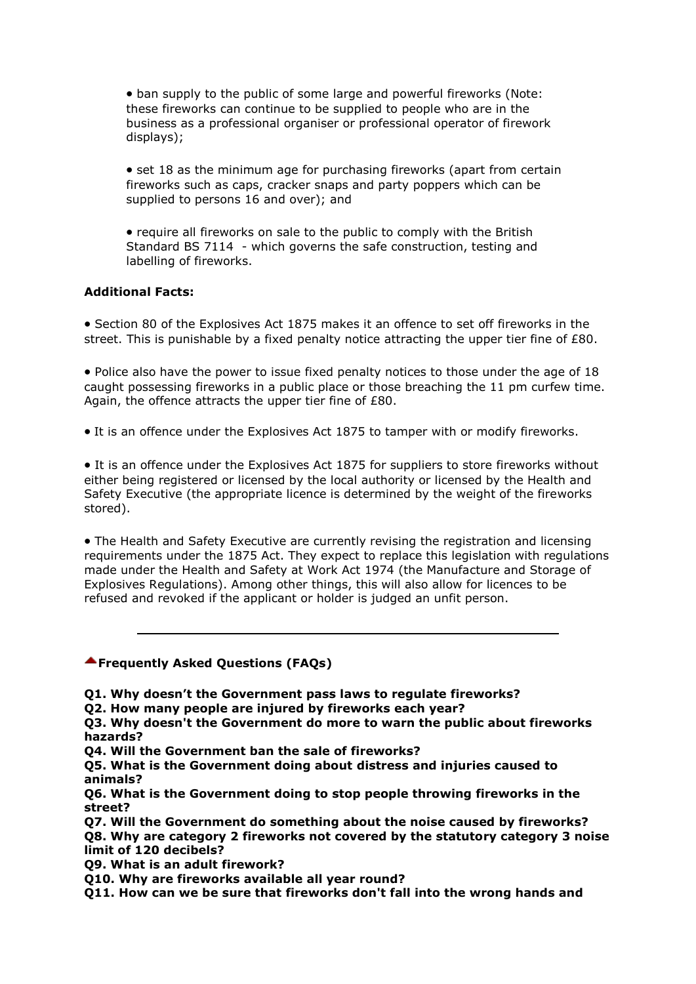ban supply to the public of some large and powerful fireworks (Note: these fireworks can continue to be supplied to people who are in the business as a professional organiser or professional operator of firework displays);

• set 18 as the minimum age for purchasing fireworks (apart from certain fireworks such as caps, cracker snaps and party poppers which can be supplied to persons 16 and over); and

• require all fireworks on sale to the public to comply with the British Standard BS 7114 - which governs the safe construction, testing and labelling of fireworks.

#### **Additional Facts:**

• Section 80 of the Explosives Act 1875 makes it an offence to set off fireworks in the street. This is punishable by a fixed penalty notice attracting the upper tier fine of £80.

• Police also have the power to issue fixed penalty notices to those under the age of 18 caught possessing fireworks in a public place or those breaching the 11 pm curfew time. Again, the offence attracts the upper tier fine of £80.

• It is an offence under the Explosives Act 1875 to tamper with or modify fireworks.

• It is an offence under the Explosives Act 1875 for suppliers to store fireworks without either being registered or licensed by the local authority or licensed by the Health and Safety Executive (the appropriate licence is determined by the weight of the fireworks stored).

• The Health and Safety Executive are currently revising the registration and licensing requirements under the 1875 Act. They expect to replace this legislation with regulations made under the Health and Safety at Work Act 1974 (the Manufacture and Storage of Explosives Regulations). Among other things, this will also allow for licences to be refused and revoked if the applicant or holder is judged an unfit person.

### **Frequently Asked Questions (FAQs)**

**Q1. Why doesn't the Government pass laws to regulate fireworks?**

**Q2. How many people are injured by fireworks each year?**

**Q3. Why doesn't the Government do more to warn the public about fireworks hazards?**

**Q4. Will the Government ban the sale of fireworks?**

**Q5. What is the Government doing about distress and injuries caused to animals?**

**Q6. What is the Government doing to stop people throwing fireworks in the street?**

**Q7. Will the Government do something about the noise caused by fireworks? Q8. Why are category 2 fireworks not covered by the statutory category 3 noise limit of 120 decibels?**

**Q9. What is an adult firework?**

**Q10. Why are fireworks available all year round?**

**Q11. How can we be sure that fireworks don't fall into the wrong hands and**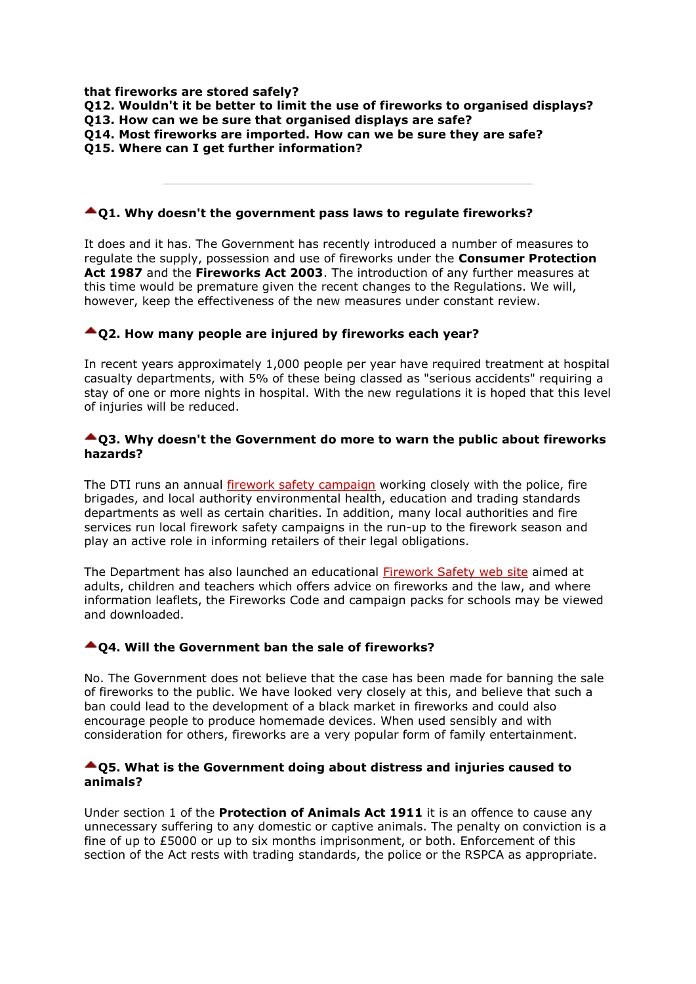**that fireworks are stored safely?**

|  |  |  |  |  | Q12. Wouldn't it be better to limit the use of fireworks to organised displays? |  |
|--|--|--|--|--|---------------------------------------------------------------------------------|--|
|  |  |  |  |  |                                                                                 |  |

- **Q13. How can we be sure that organised displays are safe?**
- **Q14. Most fireworks are imported. How can we be sure they are safe?**
- **Q15. Where can I get further information?**

#### **Q1. Why doesn't the government pass laws to regulate fireworks?**

It does and it has. The Government has recently introduced a number of measures to regulate the supply, possession and use of fireworks under the **Consumer Protection Act 1987** and the **Fireworks Act 2003**. The introduction of any further measures at this time would be premature given the recent changes to the Regulations. We will, however, keep the effectiveness of the new measures under constant review.

### **Q2. How many people are injured by fireworks each year?**

In recent years approximately 1,000 people per year have required treatment at hospital casualty departments, with 5% of these being classed as "serious accidents" requiring a stay of one or more nights in hospital. With the new regulations it is hoped that this level of injuries will be reduced.

#### **Q3. Why doesn't the Government do more to warn the public about fireworks hazards?**

The DTI runs an annual [firework safety campaign](http://www.dti.gov.uk/fireworks/index.htm) working closely with the police, fire brigades, and local authority environmental health, education and trading standards departments as well as certain charities. In addition, many local authorities and fire services run local firework safety campaigns in the run-up to the firework season and play an active role in informing retailers of their legal obligations.

The Department has also launched an educational [Firework Safety web site](http://www.dti.gov.uk/fireworks/index.htm) aimed at adults, children and teachers which offers advice on fireworks and the law, and where information leaflets, the Fireworks Code and campaign packs for schools may be viewed and downloaded.

#### **Q4. Will the Government ban the sale of fireworks?**

No. The Government does not believe that the case has been made for banning the sale of fireworks to the public. We have looked very closely at this, and believe that such a ban could lead to the development of a black market in fireworks and could also encourage people to produce homemade devices. When used sensibly and with consideration for others, fireworks are a very popular form of family entertainment.

#### **Q5. What is the Government doing about distress and injuries caused to animals?**

Under section 1 of the **Protection of Animals Act 1911** it is an offence to cause any unnecessary suffering to any domestic or captive animals. The penalty on conviction is a fine of up to £5000 or up to six months imprisonment, or both. Enforcement of this section of the Act rests with trading standards, the police or the RSPCA as appropriate.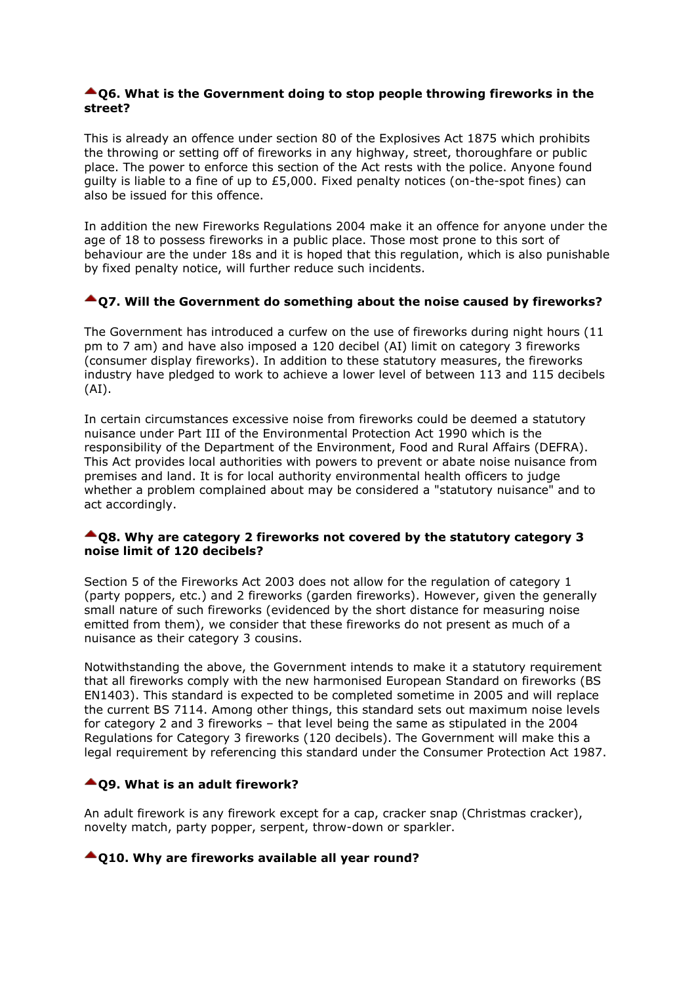#### **▲ Q6. What is the Government doing to stop people throwing fireworks in the street?**

This is already an offence under section 80 of the Explosives Act 1875 which prohibits the throwing or setting off of fireworks in any highway, street, thoroughfare or public place. The power to enforce this section of the Act rests with the police. Anyone found guilty is liable to a fine of up to £5,000. Fixed penalty notices (on-the-spot fines) can also be issued for this offence.

In addition the new Fireworks Regulations 2004 make it an offence for anyone under the age of 18 to possess fireworks in a public place. Those most prone to this sort of behaviour are the under 18s and it is hoped that this regulation, which is also punishable by fixed penalty notice, will further reduce such incidents.

## **Q7. Will the Government do something about the noise caused by fireworks?**

The Government has introduced a curfew on the use of fireworks during night hours (11 pm to 7 am) and have also imposed a 120 decibel (AI) limit on category 3 fireworks (consumer display fireworks). In addition to these statutory measures, the fireworks industry have pledged to work to achieve a lower level of between 113 and 115 decibels (AI).

In certain circumstances excessive noise from fireworks could be deemed a statutory nuisance under Part III of the Environmental Protection Act 1990 which is the responsibility of the Department of the Environment, Food and Rural Affairs (DEFRA). This Act provides local authorities with powers to prevent or abate noise nuisance from premises and land. It is for local authority environmental health officers to judge whether a problem complained about may be considered a "statutory nuisance" and to act accordingly.

#### **Q8. Why are category 2 fireworks not covered by the statutory category 3 noise limit of 120 decibels?**

Section 5 of the Fireworks Act 2003 does not allow for the regulation of category 1 (party poppers, etc.) and 2 fireworks (garden fireworks). However, given the generally small nature of such fireworks (evidenced by the short distance for measuring noise emitted from them), we consider that these fireworks do not present as much of a nuisance as their category 3 cousins.

Notwithstanding the above, the Government intends to make it a statutory requirement that all fireworks comply with the new harmonised European Standard on fireworks (BS EN1403). This standard is expected to be completed sometime in 2005 and will replace the current BS 7114. Among other things, this standard sets out maximum noise levels for category 2 and 3 fireworks – that level being the same as stipulated in the 2004 Regulations for Category 3 fireworks (120 decibels). The Government will make this a legal requirement by referencing this standard under the Consumer Protection Act 1987.

### **Q9. What is an adult firework?**

An adult firework is any firework except for a cap, cracker snap (Christmas cracker), novelty match, party popper, serpent, throw-down or sparkler.

#### **Q10. Why are fireworks available all year round?**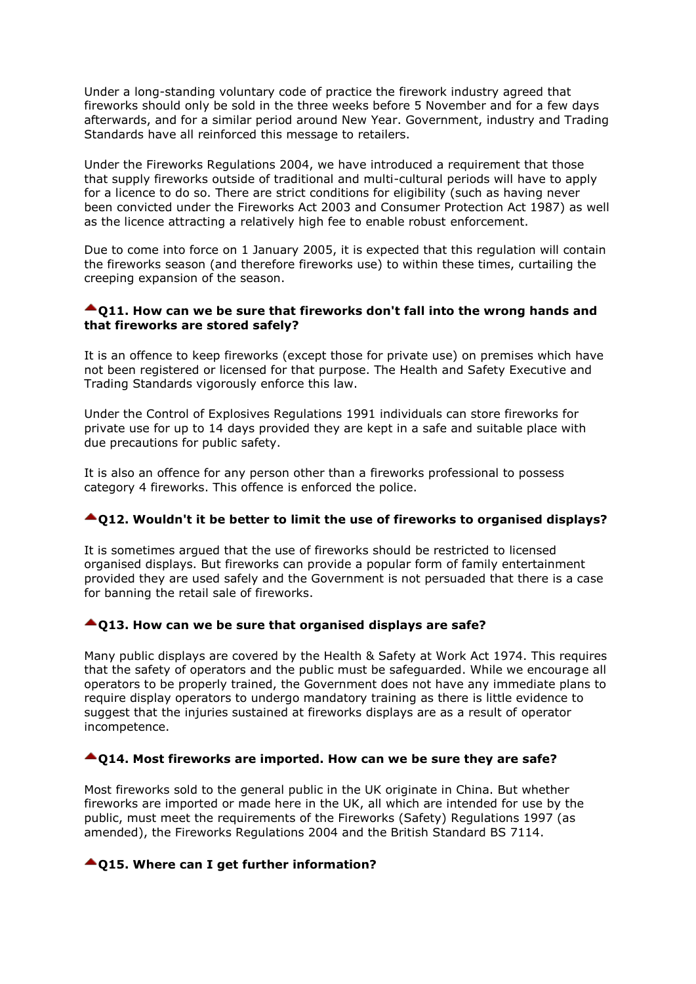Under a long-standing voluntary code of practice the firework industry agreed that fireworks should only be sold in the three weeks before 5 November and for a few days afterwards, and for a similar period around New Year. Government, industry and Trading Standards have all reinforced this message to retailers.

Under the Fireworks Regulations 2004, we have introduced a requirement that those that supply fireworks outside of traditional and multi-cultural periods will have to apply for a licence to do so. There are strict conditions for eligibility (such as having never been convicted under the Fireworks Act 2003 and Consumer Protection Act 1987) as well as the licence attracting a relatively high fee to enable robust enforcement.

Due to come into force on 1 January 2005, it is expected that this regulation will contain the fireworks season (and therefore fireworks use) to within these times, curtailing the creeping expansion of the season.

#### **Q11. How can we be sure that fireworks don't fall into the wrong hands and that fireworks are stored safely?**

It is an offence to keep fireworks (except those for private use) on premises which have not been registered or licensed for that purpose. The Health and Safety Executive and Trading Standards vigorously enforce this law.

Under the Control of Explosives Regulations 1991 individuals can store fireworks for private use for up to 14 days provided they are kept in a safe and suitable place with due precautions for public safety.

It is also an offence for any person other than a fireworks professional to possess category 4 fireworks. This offence is enforced the police.

### **Q12. Wouldn't it be better to limit the use of fireworks to organised displays?**

It is sometimes argued that the use of fireworks should be restricted to licensed organised displays. But fireworks can provide a popular form of family entertainment provided they are used safely and the Government is not persuaded that there is a case for banning the retail sale of fireworks.

### **Q13. How can we be sure that organised displays are safe?**

Many public displays are covered by the Health & Safety at Work Act 1974. This requires that the safety of operators and the public must be safeguarded. While we encourage all operators to be properly trained, the Government does not have any immediate plans to require display operators to undergo mandatory training as there is little evidence to suggest that the injuries sustained at fireworks displays are as a result of operator incompetence.

### **Q14. Most fireworks are imported. How can we be sure they are safe?**

Most fireworks sold to the general public in the UK originate in China. But whether fireworks are imported or made here in the UK, all which are intended for use by the public, must meet the requirements of the Fireworks (Safety) Regulations 1997 (as amended), the Fireworks Regulations 2004 and the British Standard BS 7114.

### **Q15. Where can I get further information?**